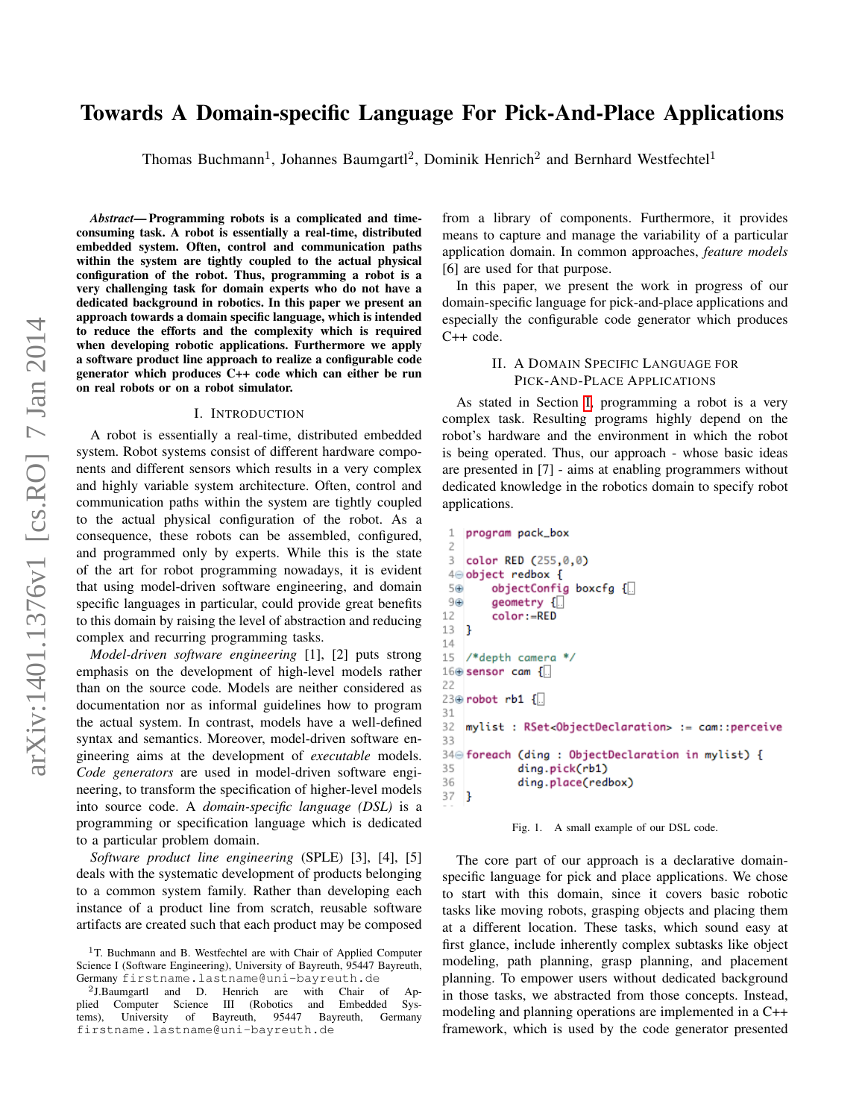# Towards A Domain-specific Language For Pick-And-Place Applications

Thomas Buchmann<sup>1</sup>, Johannes Baumgartl<sup>2</sup>, Dominik Henrich<sup>2</sup> and Bernhard Westfechtel<sup>1</sup>

*Abstract*— Programming robots is a complicated and timeconsuming task. A robot is essentially a real-time, distributed embedded system. Often, control and communication paths within the system are tightly coupled to the actual physical configuration of the robot. Thus, programming a robot is a very challenging task for domain experts who do not have a dedicated background in robotics. In this paper we present an approach towards a domain specific language, which is intended to reduce the efforts and the complexity which is required when developing robotic applications. Furthermore we apply a software product line approach to realize a configurable code generator which produces C++ code which can either be run on real robots or on a robot simulator.

#### I. INTRODUCTION

<span id="page-0-0"></span>A robot is essentially a real-time, distributed embedded system. Robot systems consist of different hardware components and different sensors which results in a very complex and highly variable system architecture. Often, control and communication paths within the system are tightly coupled to the actual physical configuration of the robot. As a consequence, these robots can be assembled, configured, and programmed only by experts. While this is the state of the art for robot programming nowadays, it is evident that using model-driven software engineering, and domain specific languages in particular, could provide great benefits to this domain by raising the level of abstraction and reducing complex and recurring programming tasks.

*Model-driven software engineering* [1], [2] puts strong emphasis on the development of high-level models rather than on the source code. Models are neither considered as documentation nor as informal guidelines how to program the actual system. In contrast, models have a well-defined syntax and semantics. Moreover, model-driven software engineering aims at the development of *executable* models. *Code generators* are used in model-driven software engineering, to transform the specification of higher-level models into source code. A *domain-specific language (DSL)* is a programming or specification language which is dedicated to a particular problem domain.

*Software product line engineering* (SPLE) [3], [4], [5] deals with the systematic development of products belonging to a common system family. Rather than developing each instance of a product line from scratch, reusable software artifacts are created such that each product may be composed from a library of components. Furthermore, it provides means to capture and manage the variability of a particular application domain. In common approaches, *feature models* [6] are used for that purpose.

In this paper, we present the work in progress of our domain-specific language for pick-and-place applications and especially the configurable code generator which produces C++ code.

## II. A DOMAIN SPECIFIC LANGUAGE FOR PICK-AND-PLACE APPLICATIONS

As stated in Section [I,](#page-0-0) programming a robot is a very complex task. Resulting programs highly depend on the robot's hardware and the environment in which the robot is being operated. Thus, our approach - whose basic ideas are presented in [7] - aims at enabling programmers without dedicated knowledge in the robotics domain to specify robot applications.

```
\mathbf 1program pack_box
 \overline{\phantom{a}}\mathcal{L}color RED (255,0,0)
 40 object redbox {
 5⊕
         objectConfig boxcfg \left\{ \right\}9 \oplusgeometry {
         color:=RED
12
13 }
14
15
   /*depth camera
                      *16 \oplus sensor cam {...
22
23⊕ robot rb1 {
31
    mylist : RSet<ObjectDeclaration> := cam::perceive
32
33
34 foreach (ding : ObjectDeclaration in mylist) {
35
              ding.pick(rb1)
36
              ding.place(redbox)
37 }
```
<span id="page-0-1"></span>Fig. 1. A small example of our DSL code.

The core part of our approach is a declarative domainspecific language for pick and place applications. We chose to start with this domain, since it covers basic robotic tasks like moving robots, grasping objects and placing them at a different location. These tasks, which sound easy at first glance, include inherently complex subtasks like object modeling, path planning, grasp planning, and placement planning. To empower users without dedicated background in those tasks, we abstracted from those concepts. Instead, modeling and planning operations are implemented in a C++ framework, which is used by the code generator presented

<sup>&</sup>lt;sup>1</sup>T. Buchmann and B. Westfechtel are with Chair of Applied Computer Science I (Software Engineering), University of Bayreuth, 95447 Bayreuth, Germany firstname.lastname@uni-bayreuth.de

<sup>2</sup> J.Baumgartl and D. Henrich are with Chair of Applied Computer Science III (Robotics and Embedded Sys-<br>tems), University of Bayreuth, 95447 Bayreuth, Germany tems), University of Bayreuth, firstname.lastname@uni-bayreuth.de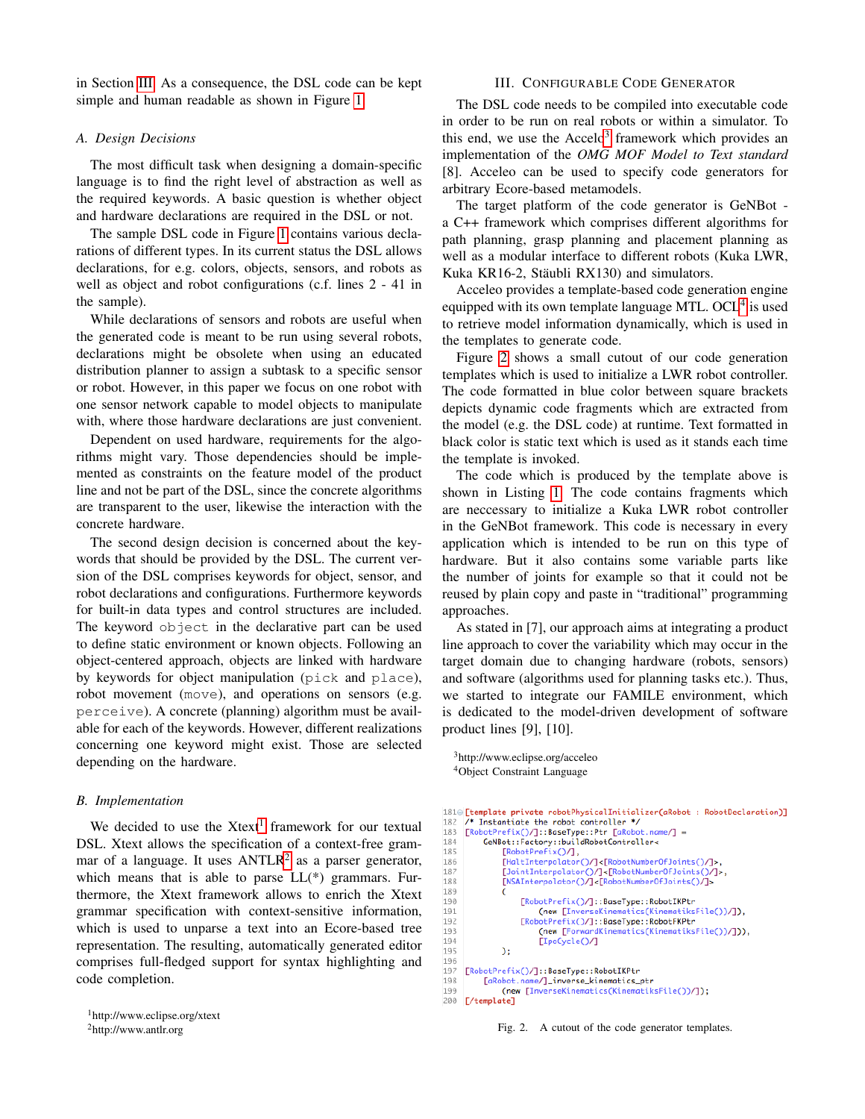in Section [III.](#page-1-0) As a consequence, the DSL code can be kept simple and human readable as shown in Figure [1.](#page-0-1)

## *A. Design Decisions*

The most difficult task when designing a domain-specific language is to find the right level of abstraction as well as the required keywords. A basic question is whether object and hardware declarations are required in the DSL or not.

The sample DSL code in Figure [1](#page-0-1) contains various declarations of different types. In its current status the DSL allows declarations, for e.g. colors, objects, sensors, and robots as well as object and robot configurations (c.f. lines 2 - 41 in the sample).

While declarations of sensors and robots are useful when the generated code is meant to be run using several robots, declarations might be obsolete when using an educated distribution planner to assign a subtask to a specific sensor or robot. However, in this paper we focus on one robot with one sensor network capable to model objects to manipulate with, where those hardware declarations are just convenient.

Dependent on used hardware, requirements for the algorithms might vary. Those dependencies should be implemented as constraints on the feature model of the product line and not be part of the DSL, since the concrete algorithms are transparent to the user, likewise the interaction with the concrete hardware.

The second design decision is concerned about the keywords that should be provided by the DSL. The current version of the DSL comprises keywords for object, sensor, and robot declarations and configurations. Furthermore keywords for built-in data types and control structures are included. The keyword object in the declarative part can be used to define static environment or known objects. Following an object-centered approach, objects are linked with hardware by keywords for object manipulation (pick and place), robot movement (move), and operations on sensors (e.g. perceive). A concrete (planning) algorithm must be available for each of the keywords. However, different realizations concerning one keyword might exist. Those are selected depending on the hardware.

### *B. Implementation*

We decided to use the Xtext<sup>[1](#page-1-1)</sup> framework for our textual DSL. Xtext allows the specification of a context-free grammar of a language. It uses  $ANTLR<sup>2</sup>$  $ANTLR<sup>2</sup>$  $ANTLR<sup>2</sup>$  as a parser generator, which means that is able to parse LL(\*) grammars. Furthermore, the Xtext framework allows to enrich the Xtext grammar specification with context-sensitive information, which is used to unparse a text into an Ecore-based tree representation. The resulting, automatically generated editor comprises full-fledged support for syntax highlighting and code completion.

```
1http://www.eclipse.org/xtext
```
<span id="page-1-2"></span><sup>2</sup>http://www.antlr.org

## III. CONFIGURABLE CODE GENERATOR

<span id="page-1-0"></span>The DSL code needs to be compiled into executable code in order to be run on real robots or within a simulator. To this end, we use the Accelo<sup>[3](#page-1-3)</sup> framework which provides an implementation of the *OMG MOF Model to Text standard* [8]. Acceleo can be used to specify code generators for arbitrary Ecore-based metamodels.

The target platform of the code generator is GeNBot a C++ framework which comprises different algorithms for path planning, grasp planning and placement planning as well as a modular interface to different robots (Kuka LWR, Kuka KR16-2, Stäubli RX130) and simulators.

Acceleo provides a template-based code generation engine equipped with its own template language MTL. OCL<sup>[4](#page-1-4)</sup> is used to retrieve model information dynamically, which is used in the templates to generate code.

Figure [2](#page-1-5) shows a small cutout of our code generation templates which is used to initialize a LWR robot controller. The code formatted in blue color between square brackets depicts dynamic code fragments which are extracted from the model (e.g. the DSL code) at runtime. Text formatted in black color is static text which is used as it stands each time the template is invoked.

The code which is produced by the template above is shown in Listing [1.](#page-2-0) The code contains fragments which are neccessary to initialize a Kuka LWR robot controller in the GeNBot framework. This code is necessary in every application which is intended to be run on this type of hardware. But it also contains some variable parts like the number of joints for example so that it could not be reused by plain copy and paste in "traditional" programming approaches.

As stated in [7], our approach aims at integrating a product line approach to cover the variability which may occur in the target domain due to changing hardware (robots, sensors) and software (algorithms used for planning tasks etc.). Thus, we started to integrate our FAMILE environment, which is dedicated to the model-driven development of software product lines [9], [10].

```
3http://www.eclipse.org/acceleo
4Object Constraint Language
```
1810 [template private robotPhysicalInitializer(aRobot : RobotDeclaration)] /\* Instantiate the robot controller \*/ 182 [RobotPrefix()/]::BaseType::Ptr [aRobot.name/] = 183 184 GeNBot::Factory::buildRobotController< 185 [RobotPrefix()/],<br>[HaltInterpolator()/]<[RobotNumber0fJoints()/]>, 186 [JointInterpolator()/]<[RobotNumberOfJoints()/]>,<br>[NSAInterpolator()/]<[RobotNumberOfJoints()/]> 187 188 189  $190$ [RobotPrefix()/]::BaseType::RobotIKPtr (new [InverseKinematics(KinematiksFile())/]), 191 otPrefix()/]::BaseType::RobotFKPtr 192  $193$ (new [ForwardKinematics(KinematiksFile())/])), [IpoCycle()/] 194 195  $\mathcal{E}$ 196 197 [RobotPrefix()/]::BaseType::RobotIKPtr 198 [aRobot.name/]\_inverse\_kinematics\_ptr 199 (new [InverseKinematics(KinematiksFile())/]); 200 [/template]

<span id="page-1-5"></span>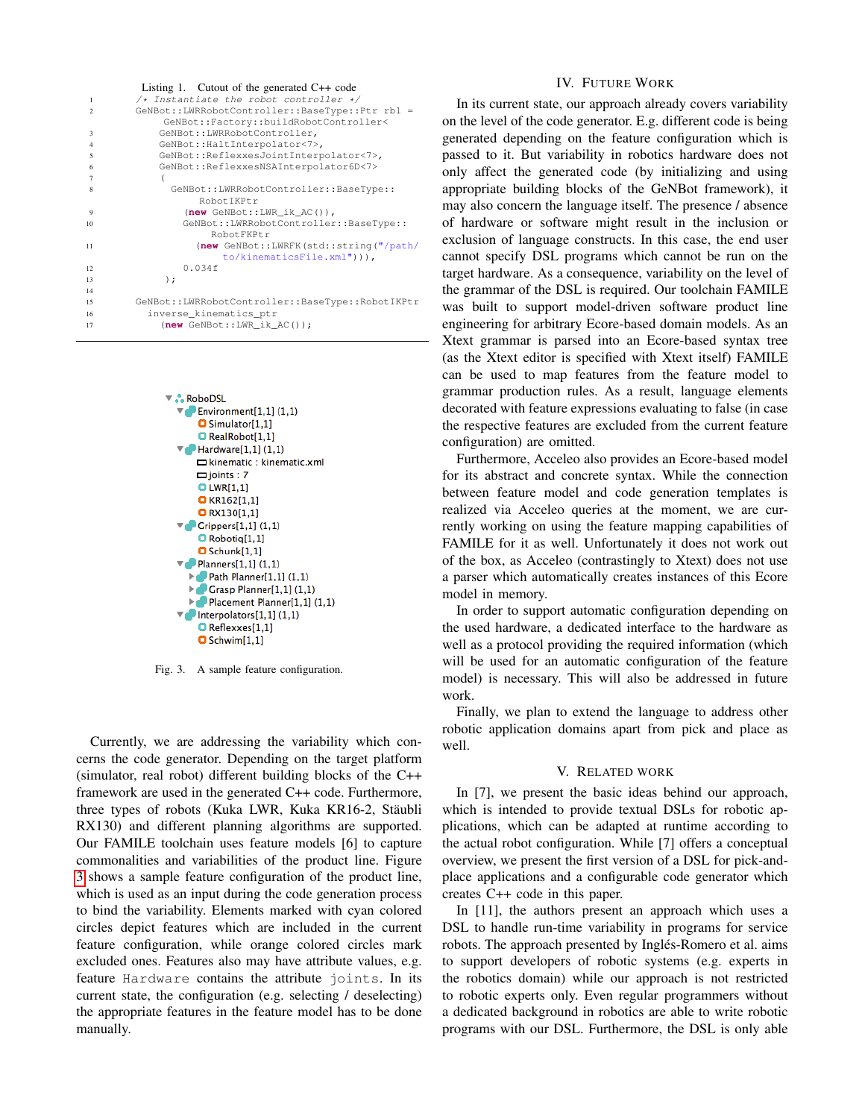<span id="page-2-0"></span>

|                          | Listing 1. Cutout of the generated $C++$ code    |
|--------------------------|--------------------------------------------------|
| 1                        | $/*$ Instantiate the robot controller */         |
| $\mathfrak{D}$           | GeNBot::LWRRobotController::BaseType::Ptr rb1 =  |
|                          | GeNBot::Factory::buildRobotController<           |
| $\mathbf{3}$             | GeNBot::LWRRobotController,                      |
| $\overline{4}$           | GeNBot::HaltInterpolator<7>,                     |
| $\overline{\phantom{0}}$ | GeNBot::ReflexxesJointInterpolator<7>,           |
| 6                        | GeNBot::ReflexxesNSAInterpolator6D<7>            |
| 7                        |                                                  |
| 8                        | GeNBot::LWRRobotController::BaseType::           |
|                          | RobotIKPtr                                       |
| 9                        | $(new GenBot::LWR_ik_AC())$ ,                    |
| 10                       | GeNBot::LWRRobotController::BaseType::           |
|                          | RobotFKPtr                                       |
| 11                       | (new GeNBot::LWRFK(std::string("/path/           |
|                          | $to/kinematicsFile.xml")$ ),                     |
| 12                       | 0.034f                                           |
| 13                       | $\,$ ;                                           |
| 14                       |                                                  |
| 15                       | GeNBot::LWRRobotController::BaseType::RobotIKPtr |
| 16                       | inverse_kinematics_ptr                           |
| 17                       | $(new GeNBot::LWR_ik_AC())$ ;                    |
|                          |                                                  |



<span id="page-2-1"></span>Fig. 3. A sample feature configuration.

Currently, we are addressing the variability which concerns the code generator. Depending on the target platform (simulator, real robot) different building blocks of the C++ framework are used in the generated C++ code. Furthermore, three types of robots (Kuka LWR, Kuka KR16-2, Stäubli RX130) and different planning algorithms are supported. Our FAMILE toolchain uses feature models [6] to capture commonalities and variabilities of the product line. Figure [3](#page-2-1) shows a sample feature configuration of the product line, which is used as an input during the code generation process to bind the variability. Elements marked with cyan colored circles depict features which are included in the current feature configuration, while orange colored circles mark excluded ones. Features also may have attribute values, e.g. feature Hardware contains the attribute joints. In its current state, the configuration (e.g. selecting / deselecting) the appropriate features in the feature model has to be done manually.

### IV. FUTURE WORK

In its current state, our approach already covers variability on the level of the code generator. E.g. different code is being generated depending on the feature configuration which is passed to it. But variability in robotics hardware does not only affect the generated code (by initializing and using appropriate building blocks of the GeNBot framework), it may also concern the language itself. The presence / absence of hardware or software might result in the inclusion or exclusion of language constructs. In this case, the end user cannot specify DSL programs which cannot be run on the target hardware. As a consequence, variability on the level of the grammar of the DSL is required. Our toolchain FAMILE was built to support model-driven software product line engineering for arbitrary Ecore-based domain models. As an Xtext grammar is parsed into an Ecore-based syntax tree (as the Xtext editor is specified with Xtext itself) FAMILE can be used to map features from the feature model to grammar production rules. As a result, language elements decorated with feature expressions evaluating to false (in case the respective features are excluded from the current feature configuration) are omitted.

Furthermore, Acceleo also provides an Ecore-based model for its abstract and concrete syntax. While the connection between feature model and code generation templates is realized via Acceleo queries at the moment, we are currently working on using the feature mapping capabilities of FAMILE for it as well. Unfortunately it does not work out of the box, as Acceleo (contrastingly to Xtext) does not use a parser which automatically creates instances of this Ecore model in memory.

In order to support automatic configuration depending on the used hardware, a dedicated interface to the hardware as well as a protocol providing the required information (which will be used for an automatic configuration of the feature model) is necessary. This will also be addressed in future work.

Finally, we plan to extend the language to address other robotic application domains apart from pick and place as well.

#### V. RELATED WORK

In [7], we present the basic ideas behind our approach, which is intended to provide textual DSLs for robotic applications, which can be adapted at runtime according to the actual robot configuration. While [7] offers a conceptual overview, we present the first version of a DSL for pick-andplace applications and a configurable code generator which creates C++ code in this paper.

In [11], the authors present an approach which uses a DSL to handle run-time variability in programs for service robots. The approach presented by Inglés-Romero et al. aims to support developers of robotic systems (e.g. experts in the robotics domain) while our approach is not restricted to robotic experts only. Even regular programmers without a dedicated background in robotics are able to write robotic programs with our DSL. Furthermore, the DSL is only able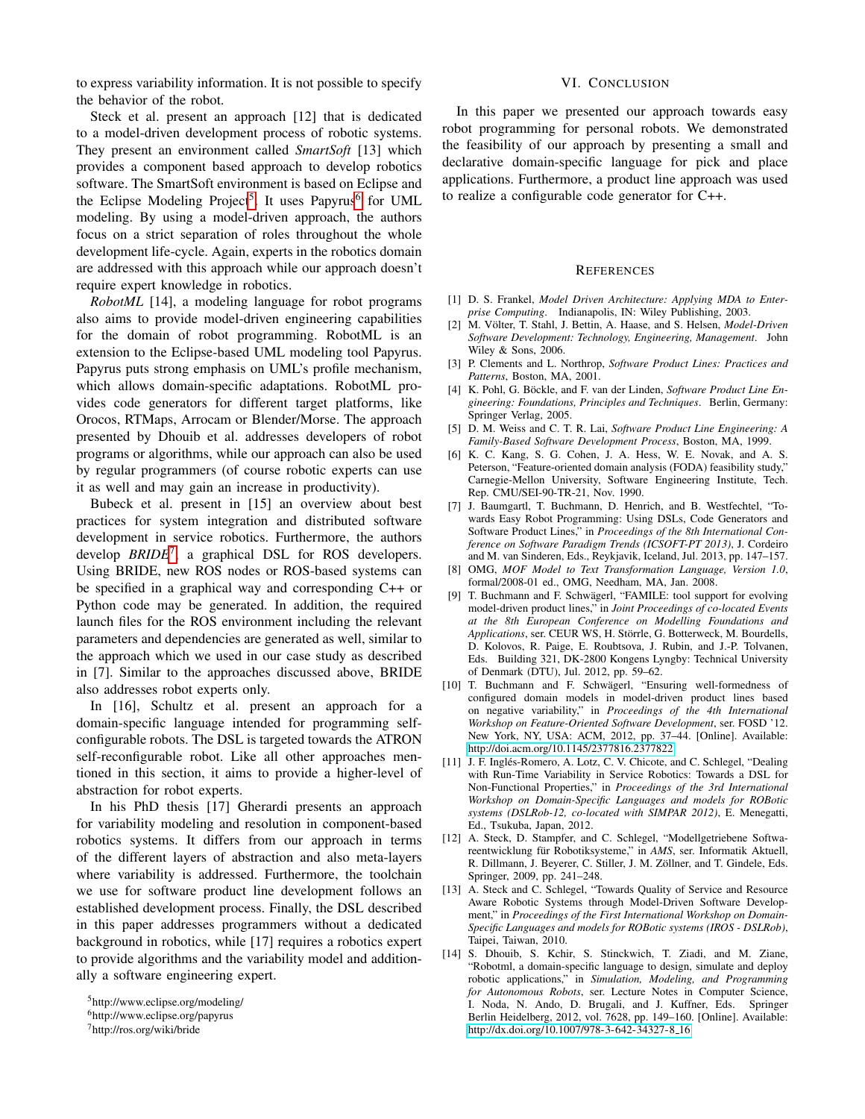to express variability information. It is not possible to specify the behavior of the robot.

Steck et al. present an approach [12] that is dedicated to a model-driven development process of robotic systems. They present an environment called *SmartSoft* [13] which provides a component based approach to develop robotics software. The SmartSoft environment is based on Eclipse and the Eclipse Modeling Project<sup>[5](#page-3-0)</sup>. It uses Papyrus<sup>[6](#page-3-1)</sup> for UML modeling. By using a model-driven approach, the authors focus on a strict separation of roles throughout the whole development life-cycle. Again, experts in the robotics domain are addressed with this approach while our approach doesn't require expert knowledge in robotics.

*RobotML* [14], a modeling language for robot programs also aims to provide model-driven engineering capabilities for the domain of robot programming. RobotML is an extension to the Eclipse-based UML modeling tool Papyrus. Papyrus puts strong emphasis on UML's profile mechanism, which allows domain-specific adaptations. RobotML provides code generators for different target platforms, like Orocos, RTMaps, Arrocam or Blender/Morse. The approach presented by Dhouib et al. addresses developers of robot programs or algorithms, while our approach can also be used by regular programmers (of course robotic experts can use it as well and may gain an increase in productivity).

Bubeck et al. present in [15] an overview about best practices for system integration and distributed software development in service robotics. Furthermore, the authors develop *BRIDE*[7](#page-3-2) , a graphical DSL for ROS developers. Using BRIDE, new ROS nodes or ROS-based systems can be specified in a graphical way and corresponding C++ or Python code may be generated. In addition, the required launch files for the ROS environment including the relevant parameters and dependencies are generated as well, similar to the approach which we used in our case study as described in [7]. Similar to the approaches discussed above, BRIDE also addresses robot experts only.

In [16], Schultz et al. present an approach for a domain-specific language intended for programming selfconfigurable robots. The DSL is targeted towards the ATRON self-reconfigurable robot. Like all other approaches mentioned in this section, it aims to provide a higher-level of abstraction for robot experts.

In his PhD thesis [17] Gherardi presents an approach for variability modeling and resolution in component-based robotics systems. It differs from our approach in terms of the different layers of abstraction and also meta-layers where variability is addressed. Furthermore, the toolchain we use for software product line development follows an established development process. Finally, the DSL described in this paper addresses programmers without a dedicated background in robotics, while [17] requires a robotics expert to provide algorithms and the variability model and additionally a software engineering expert.

## VI. CONCLUSION

In this paper we presented our approach towards easy robot programming for personal robots. We demonstrated the feasibility of our approach by presenting a small and declarative domain-specific language for pick and place applications. Furthermore, a product line approach was used to realize a configurable code generator for C++.

#### **REFERENCES**

- [1] D. S. Frankel, *Model Driven Architecture: Applying MDA to Enterprise Computing*. Indianapolis, IN: Wiley Publishing, 2003.
- [2] M. Völter, T. Stahl, J. Bettin, A. Haase, and S. Helsen, *Model-Driven Software Development: Technology, Engineering, Management*. John Wiley & Sons, 2006.
- [3] P. Clements and L. Northrop, *Software Product Lines: Practices and Patterns*, Boston, MA, 2001.
- [4] K. Pohl, G. Böckle, and F. van der Linden, Software Product Line En*gineering: Foundations, Principles and Techniques*. Berlin, Germany: Springer Verlag, 2005.
- [5] D. M. Weiss and C. T. R. Lai, *Software Product Line Engineering: A Family-Based Software Development Process*, Boston, MA, 1999.
- [6] K. C. Kang, S. G. Cohen, J. A. Hess, W. E. Novak, and A. S. Peterson, "Feature-oriented domain analysis (FODA) feasibility study," Carnegie-Mellon University, Software Engineering Institute, Tech. Rep. CMU/SEI-90-TR-21, Nov. 1990.
- [7] J. Baumgartl, T. Buchmann, D. Henrich, and B. Westfechtel, "Towards Easy Robot Programming: Using DSLs, Code Generators and Software Product Lines," in *Proceedings of the 8th International Conference on Software Paradigm Trends (ICSOFT-PT 2013)*, J. Cordeiro and M. van Sinderen, Eds., Reykjavik, Iceland, Jul. 2013, pp. 147–157.
- [8] OMG, *MOF Model to Text Transformation Language, Version 1.0*, formal/2008-01 ed., OMG, Needham, MA, Jan. 2008.
- [9] T. Buchmann and F. Schwägerl, "FAMILE: tool support for evolving model-driven product lines," in *Joint Proceedings of co-located Events at the 8th European Conference on Modelling Foundations and Applications*, ser. CEUR WS, H. Storrle, G. Botterweck, M. Bourdells, ¨ D. Kolovos, R. Paige, E. Roubtsova, J. Rubin, and J.-P. Tolvanen, Eds. Building 321, DK-2800 Kongens Lyngby: Technical University of Denmark (DTU), Jul. 2012, pp. 59–62.
- [10] T. Buchmann and F. Schwägerl, "Ensuring well-formedness of configured domain models in model-driven product lines based on negative variability," in *Proceedings of the 4th International Workshop on Feature-Oriented Software Development*, ser. FOSD '12. New York, NY, USA: ACM, 2012, pp. 37–44. [Online]. Available: <http://doi.acm.org/10.1145/2377816.2377822>
- [11] J. F. Inglés-Romero, A. Lotz, C. V. Chicote, and C. Schlegel, "Dealing with Run-Time Variability in Service Robotics: Towards a DSL for Non-Functional Properties," in *Proceedings of the 3rd International Workshop on Domain-Specific Languages and models for ROBotic systems (DSLRob-12, co-located with SIMPAR 2012)*, E. Menegatti, Ed., Tsukuba, Japan, 2012.
- [12] A. Steck, D. Stampfer, and C. Schlegel, "Modellgetriebene Softwareentwicklung für Robotiksysteme," in *AMS*, ser. Informatik Aktuell, R. Dillmann, J. Beyerer, C. Stiller, J. M. Zöllner, and T. Gindele, Eds. Springer, 2009, pp. 241–248.
- [13] A. Steck and C. Schlegel, "Towards Quality of Service and Resource Aware Robotic Systems through Model-Driven Software Development," in *Proceedings of the First International Workshop on Domain-Specific Languages and models for ROBotic systems (IROS - DSLRob)*, Taipei, Taiwan, 2010.
- [14] S. Dhouib, S. Kchir, S. Stinckwich, T. Ziadi, and M. Ziane, "Robotml, a domain-specific language to design, simulate and deploy robotic applications," in *Simulation, Modeling, and Programming for Autonomous Robots*, ser. Lecture Notes in Computer Science, I. Noda, N. Ando, D. Brugali, and J. Kuffner, Eds. Springer Berlin Heidelberg, 2012, vol. 7628, pp. 149–160. [Online]. Available: [http://dx.doi.org/10.1007/978-3-642-34327-8](http://dx.doi.org/10.1007/978-3-642-34327-8_16) 16

<span id="page-3-0"></span><sup>5</sup>http://www.eclipse.org/modeling/

<span id="page-3-1"></span><sup>6</sup>http://www.eclipse.org/papyrus

<span id="page-3-2"></span><sup>7</sup>http://ros.org/wiki/bride